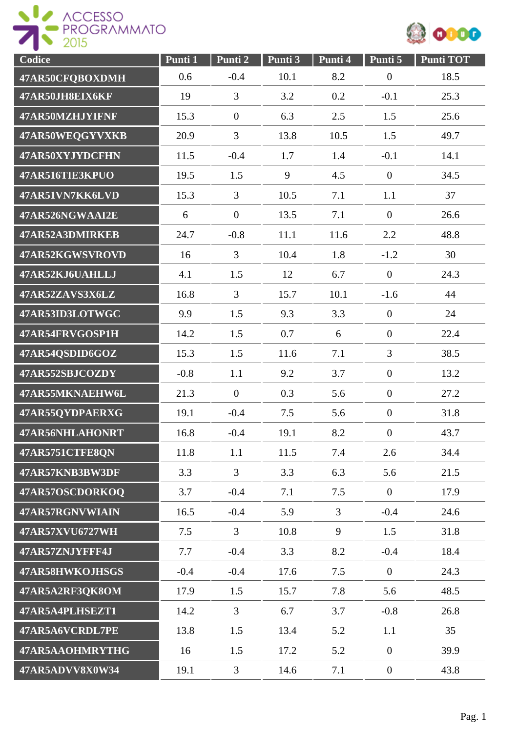



| Codice          | Punti 1 | Punti 2        | Punti 3 | Punti 4        | Punti 5          | <b>Punti TOT</b> |
|-----------------|---------|----------------|---------|----------------|------------------|------------------|
| 47AR50CFQBOXDMH | 0.6     | $-0.4$         | 10.1    | 8.2            | $\overline{0}$   | 18.5             |
| 47AR50JH8EIX6KF | 19      | 3              | 3.2     | 0.2            | $-0.1$           | 25.3             |
| 47AR50MZHJYIFNF | 15.3    | $\mathbf{0}$   | 6.3     | 2.5            | 1.5              | 25.6             |
| 47AR50WEQGYVXKB | 20.9    | $\overline{3}$ | 13.8    | 10.5           | 1.5              | 49.7             |
| 47AR50XYJYDCFHN | 11.5    | $-0.4$         | 1.7     | 1.4            | $-0.1$           | 14.1             |
| 47AR516TIE3KPUO | 19.5    | 1.5            | 9       | 4.5            | $\boldsymbol{0}$ | 34.5             |
| 47AR51VN7KK6LVD | 15.3    | 3              | 10.5    | 7.1            | 1.1              | 37               |
| 47AR526NGWAAI2E | 6       | $\mathbf{0}$   | 13.5    | 7.1            | $\overline{0}$   | 26.6             |
| 47AR52A3DMIRKEB | 24.7    | $-0.8$         | 11.1    | 11.6           | 2.2              | 48.8             |
| 47AR52KGWSVROVD | 16      | $\overline{3}$ | 10.4    | 1.8            | $-1.2$           | 30               |
| 47AR52KJ6UAHLLJ | 4.1     | 1.5            | 12      | 6.7            | $\overline{0}$   | 24.3             |
| 47AR52ZAVS3X6LZ | 16.8    | $\overline{3}$ | 15.7    | 10.1           | $-1.6$           | 44               |
| 47AR53ID3LOTWGC | 9.9     | 1.5            | 9.3     | 3.3            | $\mathbf{0}$     | 24               |
| 47AR54FRVGOSP1H | 14.2    | 1.5            | 0.7     | 6              | $\mathbf{0}$     | 22.4             |
| 47AR54QSDID6GOZ | 15.3    | 1.5            | 11.6    | 7.1            | 3                | 38.5             |
| 47AR552SBJCOZDY | $-0.8$  | 1.1            | 9.2     | 3.7            | $\overline{0}$   | 13.2             |
| 47AR55MKNAEHW6L | 21.3    | $\overline{0}$ | 0.3     | 5.6            | $\overline{0}$   | 27.2             |
| 47AR55QYDPAERXG | 19.1    | $-0.4$         | 7.5     | 5.6            | $\overline{0}$   | 31.8             |
| 47AR56NHLAHONRT | 16.8    | $-0.4$         | 19.1    | 8.2            | $\overline{0}$   | 43.7             |
| 47AR5751CTFE8QN | 11.8    | 1.1            | 11.5    | 7.4            | 2.6              | 34.4             |
| 47AR57KNB3BW3DF | 3.3     | 3              | 3.3     | 6.3            | 5.6              | 21.5             |
| 47AR57OSCDORKOQ | 3.7     | $-0.4$         | 7.1     | 7.5            | $\mathbf{0}$     | 17.9             |
| 47AR57RGNVWIAIN | 16.5    | $-0.4$         | 5.9     | $\overline{3}$ | $-0.4$           | 24.6             |
| 47AR57XVU6727WH | 7.5     | $\overline{3}$ | 10.8    | 9              | 1.5              | 31.8             |
| 47AR57ZNJYFFF4J | 7.7     | $-0.4$         | 3.3     | 8.2            | $-0.4$           | 18.4             |
| 47AR58HWKOJHSGS | $-0.4$  | $-0.4$         | 17.6    | 7.5            | $\overline{0}$   | 24.3             |
| 47AR5A2RF3QK8OM | 17.9    | 1.5            | 15.7    | 7.8            | 5.6              | 48.5             |
| 47AR5A4PLHSEZT1 | 14.2    | $\mathfrak{Z}$ | 6.7     | 3.7            | $-0.8$           | 26.8             |
| 47AR5A6VCRDL7PE | 13.8    | 1.5            | 13.4    | 5.2            | 1.1              | 35               |
| 47AR5AAOHMRYTHG | 16      | 1.5            | 17.2    | 5.2            | $\mathbf{0}$     | 39.9             |
| 47AR5ADVV8X0W34 | 19.1    | 3              | 14.6    | 7.1            | $\boldsymbol{0}$ | 43.8             |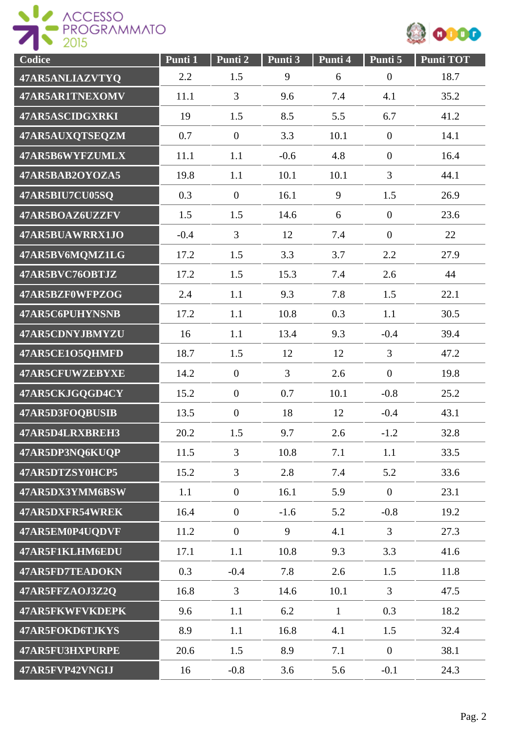



| Codice          | Punti 1 | Punti 2          | Punti 3 | Punti 4      | Punti 5          | <b>Punti TOT</b> |
|-----------------|---------|------------------|---------|--------------|------------------|------------------|
| 47AR5ANLIAZVTYQ | 2.2     | 1.5              | 9       | 6            | $\boldsymbol{0}$ | 18.7             |
| 47AR5AR1TNEXOMV | 11.1    | 3                | 9.6     | 7.4          | 4.1              | 35.2             |
| 47AR5ASCIDGXRKI | 19      | 1.5              | 8.5     | 5.5          | 6.7              | 41.2             |
| 47AR5AUXQTSEQZM | 0.7     | $\overline{0}$   | 3.3     | 10.1         | $\overline{0}$   | 14.1             |
| 47AR5B6WYFZUMLX | 11.1    | 1.1              | $-0.6$  | 4.8          | $\boldsymbol{0}$ | 16.4             |
| 47AR5BAB2OYOZA5 | 19.8    | 1.1              | 10.1    | 10.1         | 3                | 44.1             |
| 47AR5BIU7CU05SQ | 0.3     | $\overline{0}$   | 16.1    | 9            | 1.5              | 26.9             |
| 47AR5BOAZ6UZZFV | 1.5     | 1.5              | 14.6    | 6            | $\boldsymbol{0}$ | 23.6             |
| 47AR5BUAWRRX1JO | $-0.4$  | 3                | 12      | 7.4          | $\overline{0}$   | 22               |
| 47AR5BV6MQMZ1LG | 17.2    | 1.5              | 3.3     | 3.7          | 2.2              | 27.9             |
| 47AR5BVC76OBTJZ | 17.2    | 1.5              | 15.3    | 7.4          | 2.6              | 44               |
| 47AR5BZF0WFPZOG | 2.4     | 1.1              | 9.3     | 7.8          | 1.5              | 22.1             |
| 47AR5C6PUHYNSNB | 17.2    | 1.1              | 10.8    | 0.3          | 1.1              | 30.5             |
| 47AR5CDNYJBMYZU | 16      | 1.1              | 13.4    | 9.3          | $-0.4$           | 39.4             |
| 47AR5CE1O5QHMFD | 18.7    | 1.5              | 12      | 12           | $\overline{3}$   | 47.2             |
| 47AR5CFUWZEBYXE | 14.2    | $\overline{0}$   | 3       | 2.6          | $\boldsymbol{0}$ | 19.8             |
| 47AR5CKJGQGD4CY | 15.2    | $\overline{0}$   | 0.7     | 10.1         | $-0.8$           | 25.2             |
| 47AR5D3FOQBUSIB | 13.5    | $\overline{0}$   | 18      | 12           | $-0.4$           | 43.1             |
| 47AR5D4LRXBREH3 | 20.2    | 1.5              | 9.7     | 2.6          | $-1.2$           | 32.8             |
| 47AR5DP3NQ6KUQP | 11.5    | $\overline{3}$   | 10.8    | 7.1          | 1.1              | 33.5             |
| 47AR5DTZSY0HCP5 | 15.2    | 3                | 2.8     | 7.4          | 5.2              | 33.6             |
| 47AR5DX3YMM6BSW | 1.1     | $\boldsymbol{0}$ | 16.1    | 5.9          | $\overline{0}$   | 23.1             |
| 47AR5DXFR54WREK | 16.4    | $\overline{0}$   | $-1.6$  | 5.2          | $-0.8$           | 19.2             |
| 47AR5EM0P4UQDVF | 11.2    | $\overline{0}$   | 9       | 4.1          | $\overline{3}$   | 27.3             |
| 47AR5F1KLHM6EDU | 17.1    | 1.1              | 10.8    | 9.3          | 3.3              | 41.6             |
| 47AR5FD7TEADOKN | 0.3     | $-0.4$           | 7.8     | 2.6          | 1.5              | 11.8             |
| 47AR5FFZAOJ3Z2Q | 16.8    | $\overline{3}$   | 14.6    | 10.1         | $\overline{3}$   | 47.5             |
| 47AR5FKWFVKDEPK | 9.6     | 1.1              | 6.2     | $\mathbf{1}$ | 0.3              | 18.2             |
| 47AR5FOKD6TJKYS | 8.9     | 1.1              | 16.8    | 4.1          | 1.5              | 32.4             |
| 47AR5FU3HXPURPE | 20.6    | 1.5              | 8.9     | 7.1          | $\boldsymbol{0}$ | 38.1             |
| 47AR5FVP42VNGIJ | 16      | $-0.8$           | 3.6     | 5.6          | $-0.1$           | 24.3             |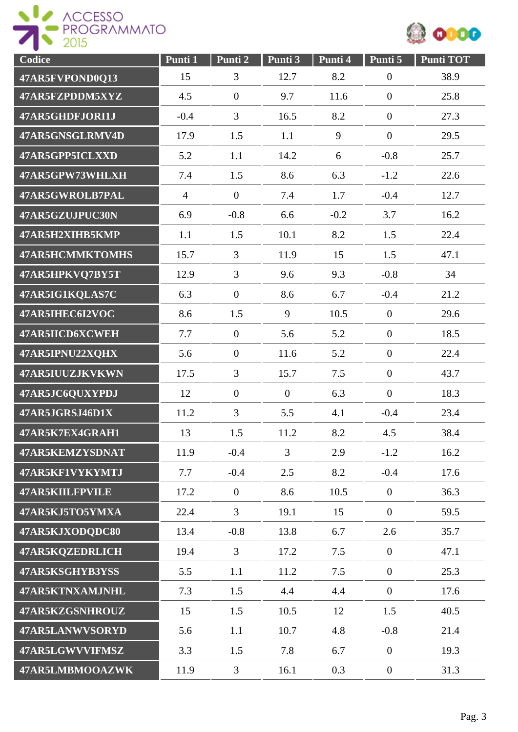



| Codice          | Punti 1        | Punti 2          | Punti 3        | Punti 4 | Punti 5          | <b>Punti TOT</b> |
|-----------------|----------------|------------------|----------------|---------|------------------|------------------|
| 47AR5FVPOND0Q13 | 15             | 3                | 12.7           | 8.2     | $\boldsymbol{0}$ | 38.9             |
| 47AR5FZPDDM5XYZ | 4.5            | $\boldsymbol{0}$ | 9.7            | 11.6    | $\boldsymbol{0}$ | 25.8             |
| 47AR5GHDFJORI1J | $-0.4$         | 3                | 16.5           | 8.2     | $\boldsymbol{0}$ | 27.3             |
| 47AR5GNSGLRMV4D | 17.9           | 1.5              | 1.1            | 9       | $\overline{0}$   | 29.5             |
| 47AR5GPP5ICLXXD | 5.2            | 1.1              | 14.2           | 6       | $-0.8$           | 25.7             |
| 47AR5GPW73WHLXH | 7.4            | 1.5              | 8.6            | 6.3     | $-1.2$           | 22.6             |
| 47AR5GWROLB7PAL | $\overline{4}$ | $\boldsymbol{0}$ | 7.4            | 1.7     | $-0.4$           | 12.7             |
| 47AR5GZUJPUC30N | 6.9            | $-0.8$           | 6.6            | $-0.2$  | 3.7              | 16.2             |
| 47AR5H2XIHB5KMP | 1.1            | 1.5              | 10.1           | 8.2     | 1.5              | 22.4             |
| 47AR5HCMMKTOMHS | 15.7           | $\overline{3}$   | 11.9           | 15      | 1.5              | 47.1             |
| 47AR5HPKVQ7BY5T | 12.9           | 3                | 9.6            | 9.3     | $-0.8$           | 34               |
| 47AR5IG1KQLAS7C | 6.3            | $\overline{0}$   | 8.6            | 6.7     | $-0.4$           | 21.2             |
| 47AR5IHEC6I2VOC | 8.6            | 1.5              | 9              | 10.5    | $\overline{0}$   | 29.6             |
| 47AR5IICD6XCWEH | 7.7            | $\overline{0}$   | 5.6            | 5.2     | $\boldsymbol{0}$ | 18.5             |
| 47AR5IPNU22XQHX | 5.6            | $\boldsymbol{0}$ | 11.6           | 5.2     | $\boldsymbol{0}$ | 22.4             |
| 47AR5IUUZJKVKWN | 17.5           | 3                | 15.7           | 7.5     | $\boldsymbol{0}$ | 43.7             |
| 47AR5JC6QUXYPDJ | 12             | $\overline{0}$   | $\overline{0}$ | 6.3     | $\boldsymbol{0}$ | 18.3             |
| 47AR5JGRSJ46D1X | 11.2           | 3                | 5.5            | 4.1     | $-0.4$           | 23.4             |
| 47AR5K7EX4GRAH1 | 13             | 1.5              | 11.2           | 8.2     | 4.5              | 38.4             |
| 47AR5KEMZYSDNAT | 11.9           | $-0.4$           | 3              | 2.9     | $-1.2$           | 16.2             |
| 47AR5KF1VYKYMTJ | 7.7            | $-0.4$           | 2.5            | 8.2     | $-0.4$           | 17.6             |
| 47AR5KIILFPVILE | 17.2           | $\overline{0}$   | 8.6            | 10.5    | $\overline{0}$   | 36.3             |
| 47AR5KJ5TO5YMXA | 22.4           | $\overline{3}$   | 19.1           | 15      | $\overline{0}$   | 59.5             |
| 47AR5KJXODQDC80 | 13.4           | $-0.8$           | 13.8           | 6.7     | 2.6              | 35.7             |
| 47AR5KQZEDRLICH | 19.4           | 3                | 17.2           | 7.5     | $\mathbf{0}$     | 47.1             |
| 47AR5KSGHYB3YSS | 5.5            | 1.1              | 11.2           | 7.5     | $\overline{0}$   | 25.3             |
| 47AR5KTNXAMJNHL | 7.3            | 1.5              | 4.4            | 4.4     | $\overline{0}$   | 17.6             |
| 47AR5KZGSNHROUZ | 15             | 1.5              | 10.5           | 12      | 1.5              | 40.5             |
| 47AR5LANWVSORYD | 5.6            | 1.1              | 10.7           | 4.8     | $-0.8$           | 21.4             |
| 47AR5LGWVVIFMSZ | 3.3            | 1.5              | 7.8            | 6.7     | $\mathbf{0}$     | 19.3             |
| 47AR5LMBMOOAZWK | 11.9           | 3                | 16.1           | 0.3     | $\overline{0}$   | 31.3             |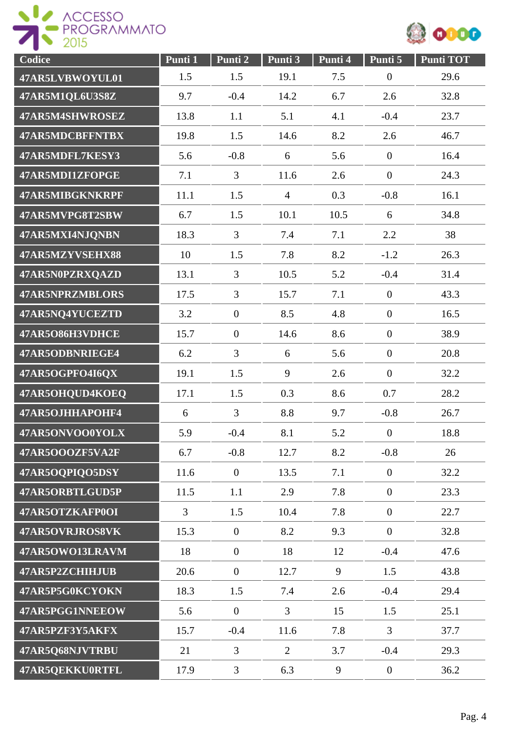



| Codice                 | Punti <sub>1</sub> | Punti 2        | Punti 3        | Punti 4 | Punti 5          | Punti TOT |
|------------------------|--------------------|----------------|----------------|---------|------------------|-----------|
| 47AR5LVBWOYUL01        | 1.5                | 1.5            | 19.1           | 7.5     | $\boldsymbol{0}$ | 29.6      |
| 47AR5M1QL6U3S8Z        | 9.7                | $-0.4$         | 14.2           | 6.7     | 2.6              | 32.8      |
| 47AR5M4SHWROSEZ        | 13.8               | 1.1            | 5.1            | 4.1     | $-0.4$           | 23.7      |
| 47AR5MDCBFFNTBX        | 19.8               | 1.5            | 14.6           | 8.2     | 2.6              | 46.7      |
| 47AR5MDFL7KESY3        | 5.6                | $-0.8$         | 6              | 5.6     | $\boldsymbol{0}$ | 16.4      |
| 47AR5MDI1ZFOPGE        | 7.1                | 3              | 11.6           | 2.6     | $\boldsymbol{0}$ | 24.3      |
| 47AR5MIBGKNKRPF        | 11.1               | 1.5            | $\overline{4}$ | 0.3     | $-0.8$           | 16.1      |
| 47AR5MVPG8T2SBW        | 6.7                | 1.5            | 10.1           | 10.5    | 6                | 34.8      |
| 47AR5MXI4NJQNBN        | 18.3               | 3              | 7.4            | 7.1     | 2.2              | 38        |
| 47AR5MZYVSEHX88        | 10                 | 1.5            | 7.8            | 8.2     | $-1.2$           | 26.3      |
| 47AR5N0PZRXQAZD        | 13.1               | 3              | 10.5           | 5.2     | $-0.4$           | 31.4      |
| <b>47AR5NPRZMBLORS</b> | 17.5               | $\overline{3}$ | 15.7           | 7.1     | $\overline{0}$   | 43.3      |
| 47AR5NQ4YUCEZTD        | 3.2                | $\overline{0}$ | 8.5            | 4.8     | $\overline{0}$   | 16.5      |
| 47AR5O86H3VDHCE        | 15.7               | $\overline{0}$ | 14.6           | 8.6     | $\overline{0}$   | 38.9      |
| 47AR5ODBNRIEGE4        | 6.2                | $\overline{3}$ | 6              | 5.6     | $\overline{0}$   | 20.8      |
| 47AR5OGPFO4I6QX        | 19.1               | 1.5            | 9              | 2.6     | $\boldsymbol{0}$ | 32.2      |
| 47AR5OHQUD4KOEQ        | 17.1               | 1.5            | 0.3            | 8.6     | 0.7              | 28.2      |
| 47AR5OJHHAPOHF4        | 6                  | $\overline{3}$ | 8.8            | 9.7     | $-0.8$           | 26.7      |
| 47AR5ONVOO0YOLX        | 5.9                | $-0.4$         | 8.1            | 5.2     | $\boldsymbol{0}$ | 18.8      |
| 47AR5OOOZF5VA2F        | 6.7                | $-0.8$         | 12.7           | 8.2     | $-0.8$           | 26        |
| 47AR5OQPIQO5DSY        | 11.6               | $\overline{0}$ | 13.5           | 7.1     | $\overline{0}$   | 32.2      |
| 47AR5ORBTLGUD5P        | 11.5               | 1.1            | 2.9            | 7.8     | $\overline{0}$   | 23.3      |
| 47AR5OTZKAFP0OI        | $\overline{3}$     | 1.5            | 10.4           | 7.8     | $\boldsymbol{0}$ | 22.7      |
| 47AR5OVRJROS8VK        | 15.3               | $\overline{0}$ | 8.2            | 9.3     | $\overline{0}$   | 32.8      |
| 47AR5OWO13LRAVM        | 18                 | $\overline{0}$ | 18             | 12      | $-0.4$           | 47.6      |
| 47AR5P2ZCHIHJUB        | 20.6               | $\overline{0}$ | 12.7           | 9       | 1.5              | 43.8      |
| 47AR5P5G0KCYOKN        | 18.3               | 1.5            | 7.4            | 2.6     | $-0.4$           | 29.4      |
| 47AR5PGG1NNEEOW        | 5.6                | $\overline{0}$ | $\overline{3}$ | 15      | 1.5              | 25.1      |
| 47AR5PZF3Y5AKFX        | 15.7               | $-0.4$         | 11.6           | 7.8     | $\overline{3}$   | 37.7      |
| 47AR5Q68NJVTRBU        | 21                 | $\overline{3}$ | $\overline{2}$ | 3.7     | $-0.4$           | 29.3      |
| 47AR5QEKKU0RTFL        | 17.9               | 3              | 6.3            | 9       | $\overline{0}$   | 36.2      |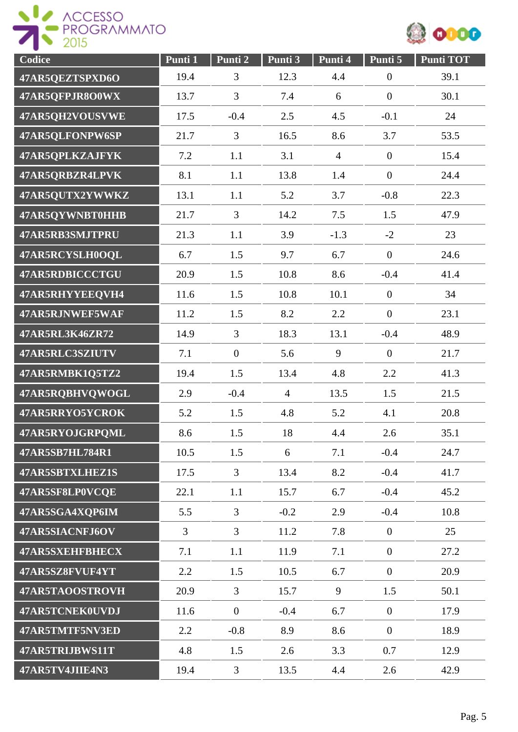

| Codice                 | Punti 1        | Punti 2          | Punti 3        | Punti 4        | Punti 5          | <b>Punti TOT</b> |
|------------------------|----------------|------------------|----------------|----------------|------------------|------------------|
| 47AR5QEZTSPXD6O        | 19.4           | 3                | 12.3           | 4.4            | $\boldsymbol{0}$ | 39.1             |
| 47AR5QFPJR8O0WX        | 13.7           | 3                | 7.4            | 6              | $\boldsymbol{0}$ | 30.1             |
| 47AR5QH2VOUSVWE        | 17.5           | $-0.4$           | 2.5            | 4.5            | $-0.1$           | 24               |
| 47AR5QLFONPW6SP        | 21.7           | 3                | 16.5           | 8.6            | 3.7              | 53.5             |
| 47AR5QPLKZAJFYK        | 7.2            | 1.1              | 3.1            | $\overline{4}$ | $\boldsymbol{0}$ | 15.4             |
| 47AR5QRBZR4LPVK        | 8.1            | 1.1              | 13.8           | 1.4            | $\boldsymbol{0}$ | 24.4             |
| 47AR5QUTX2YWWKZ        | 13.1           | 1.1              | 5.2            | 3.7            | $-0.8$           | 22.3             |
| 47AR5QYWNBT0HHB        | 21.7           | $\overline{3}$   | 14.2           | 7.5            | 1.5              | 47.9             |
| 47AR5RB3SMJTPRU        | 21.3           | 1.1              | 3.9            | $-1.3$         | $-2$             | 23               |
| 47AR5RCYSLH0OQL        | 6.7            | 1.5              | 9.7            | 6.7            | $\overline{0}$   | 24.6             |
| 47AR5RDBICCCTGU        | 20.9           | 1.5              | 10.8           | 8.6            | $-0.4$           | 41.4             |
| 47AR5RHYYEEQVH4        | 11.6           | 1.5              | 10.8           | 10.1           | $\overline{0}$   | 34               |
| 47AR5RJNWEF5WAF        | 11.2           | 1.5              | 8.2            | 2.2            | $\overline{0}$   | 23.1             |
| 47AR5RL3K46ZR72        | 14.9           | $\overline{3}$   | 18.3           | 13.1           | $-0.4$           | 48.9             |
| 47AR5RLC3SZIUTV        | 7.1            | $\boldsymbol{0}$ | 5.6            | 9              | $\overline{0}$   | 21.7             |
| 47AR5RMBK1Q5TZ2        | 19.4           | 1.5              | 13.4           | 4.8            | 2.2              | 41.3             |
| 47AR5RQBHVQWOGL        | 2.9            | $-0.4$           | $\overline{4}$ | 13.5           | 1.5              | 21.5             |
| 47AR5RRYO5YCROK        | 5.2            | 1.5              | 4.8            | 5.2            | 4.1              | 20.8             |
| 47AR5RYOJGRPQML        | 8.6            | 1.5              | 18             | 4.4            | 2.6              | 35.1             |
| 47AR5SB7HL784R1        | 10.5           | 1.5              | 6              | 7.1            | $-0.4$           | 24.7             |
| 47AR5SBTXLHEZ1S        | 17.5           | 3                | 13.4           | 8.2            | $-0.4$           | 41.7             |
| 47AR5SF8LP0VCQE        | 22.1           | 1.1              | 15.7           | 6.7            | $-0.4$           | 45.2             |
| 47AR5SGA4XQP6IM        | 5.5            | $\overline{3}$   | $-0.2$         | 2.9            | $-0.4$           | 10.8             |
| 47AR5SIACNFJ6OV        | $\overline{3}$ | 3                | 11.2           | 7.8            | $\overline{0}$   | 25               |
| <b>47AR5SXEHFBHECX</b> | 7.1            | 1.1              | 11.9           | 7.1            | $\overline{0}$   | 27.2             |
| 47AR5SZ8FVUF4YT        | 2.2            | 1.5              | 10.5           | 6.7            | $\overline{0}$   | 20.9             |
| 47AR5TAOOSTROVH        | 20.9           | $\overline{3}$   | 15.7           | 9              | 1.5              | 50.1             |
| 47AR5TCNEK0UVDJ        | 11.6           | $\boldsymbol{0}$ | $-0.4$         | 6.7            | $\boldsymbol{0}$ | 17.9             |
| 47AR5TMTF5NV3ED        | 2.2            | $-0.8$           | 8.9            | 8.6            | $\overline{0}$   | 18.9             |
| 47AR5TRIJBWS11T        | 4.8            | 1.5              | 2.6            | 3.3            | 0.7              | 12.9             |
| 47AR5TV4JIIE4N3        | 19.4           | 3                | 13.5           | 4.4            | 2.6              | 42.9             |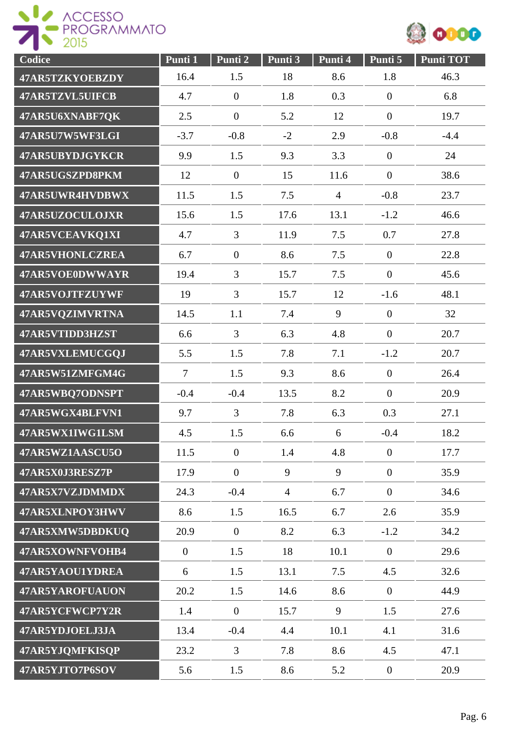



| Codice          | Punti 1        | Punti 2          | Punti 3        | Punti 4        | Punti 5          | <b>Punti TOT</b> |
|-----------------|----------------|------------------|----------------|----------------|------------------|------------------|
| 47AR5TZKYOEBZDY | 16.4           | 1.5              | 18             | 8.6            | 1.8              | 46.3             |
| 47AR5TZVL5UIFCB | 4.7            | $\boldsymbol{0}$ | 1.8            | 0.3            | $\overline{0}$   | 6.8              |
| 47AR5U6XNABF7QK | 2.5            | $\overline{0}$   | 5.2            | 12             | $\boldsymbol{0}$ | 19.7             |
| 47AR5U7W5WF3LGI | $-3.7$         | $-0.8$           | $-2$           | 2.9            | $-0.8$           | $-4.4$           |
| 47AR5UBYDJGYKCR | 9.9            | 1.5              | 9.3            | 3.3            | $\boldsymbol{0}$ | 24               |
| 47AR5UGSZPD8PKM | 12             | $\overline{0}$   | 15             | 11.6           | $\boldsymbol{0}$ | 38.6             |
| 47AR5UWR4HVDBWX | 11.5           | 1.5              | 7.5            | $\overline{4}$ | $-0.8$           | 23.7             |
| 47AR5UZOCULOJXR | 15.6           | 1.5              | 17.6           | 13.1           | $-1.2$           | 46.6             |
| 47AR5VCEAVKQ1XI | 4.7            | $\overline{3}$   | 11.9           | 7.5            | 0.7              | 27.8             |
| 47AR5VHONLCZREA | 6.7            | $\overline{0}$   | 8.6            | 7.5            | $\boldsymbol{0}$ | 22.8             |
| 47AR5VOE0DWWAYR | 19.4           | 3                | 15.7           | 7.5            | $\overline{0}$   | 45.6             |
| 47AR5VOJTFZUYWF | 19             | $\overline{3}$   | 15.7           | 12             | $-1.6$           | 48.1             |
| 47AR5VQZIMVRTNA | 14.5           | 1.1              | 7.4            | 9              | $\boldsymbol{0}$ | 32               |
| 47AR5VTIDD3HZST | 6.6            | $\overline{3}$   | 6.3            | 4.8            | $\overline{0}$   | 20.7             |
| 47AR5VXLEMUCGQJ | 5.5            | 1.5              | 7.8            | 7.1            | $-1.2$           | 20.7             |
| 47AR5W51ZMFGM4G | $\overline{7}$ | 1.5              | 9.3            | 8.6            | $\boldsymbol{0}$ | 26.4             |
| 47AR5WBQ7ODNSPT | $-0.4$         | $-0.4$           | 13.5           | 8.2            | $\boldsymbol{0}$ | 20.9             |
| 47AR5WGX4BLFVN1 | 9.7            | $\overline{3}$   | 7.8            | 6.3            | 0.3              | 27.1             |
| 47AR5WX1IWG1LSM | 4.5            | 1.5              | 6.6            | 6              | $-0.4$           | 18.2             |
| 47AR5WZ1AASCU5O | 11.5           | $\overline{0}$   | 1.4            | 4.8            | $\overline{0}$   | 17.7             |
| 47AR5X0J3RESZ7P | 17.9           | $\overline{0}$   | 9              | 9              | $\boldsymbol{0}$ | 35.9             |
| 47AR5X7VZJDMMDX | 24.3           | $-0.4$           | $\overline{4}$ | 6.7            | $\overline{0}$   | 34.6             |
| 47AR5XLNPOY3HWV | 8.6            | 1.5              | 16.5           | 6.7            | 2.6              | 35.9             |
| 47AR5XMW5DBDKUQ | 20.9           | $\overline{0}$   | 8.2            | 6.3            | $-1.2$           | 34.2             |
| 47AR5XOWNFVOHB4 | $\mathbf{0}$   | 1.5              | 18             | 10.1           | $\overline{0}$   | 29.6             |
| 47AR5YAOU1YDREA | 6              | 1.5              | 13.1           | 7.5            | 4.5              | 32.6             |
| 47AR5YAROFUAUON | 20.2           | 1.5              | 14.6           | 8.6            | $\overline{0}$   | 44.9             |
| 47AR5YCFWCP7Y2R | 1.4            | $\overline{0}$   | 15.7           | 9              | 1.5              | 27.6             |
| 47AR5YDJOELJ3JA | 13.4           | $-0.4$           | 4.4            | 10.1           | 4.1              | 31.6             |
| 47AR5YJQMFKISQP | 23.2           | 3                | 7.8            | 8.6            | 4.5              | 47.1             |
| 47AR5YJTO7P6SOV | 5.6            | 1.5              | 8.6            | 5.2            | $\overline{0}$   | 20.9             |